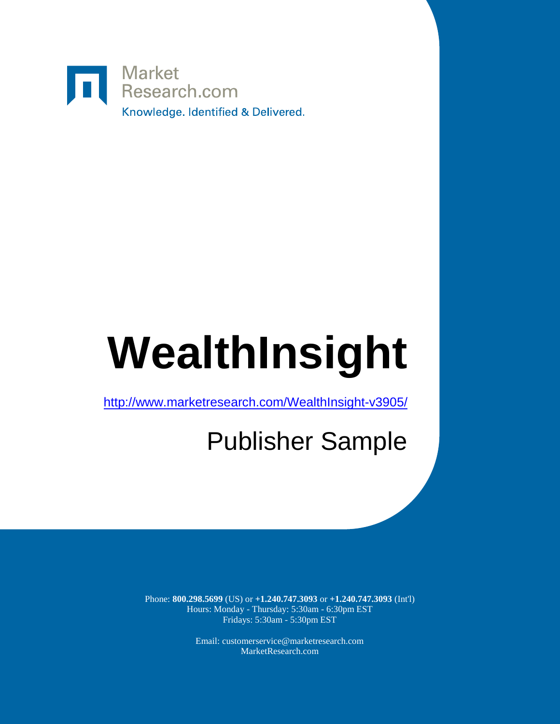

# **WealthInsight**

<http://www.marketresearch.com/WealthInsight-v3905/>

# Publisher Sample

Phone: **800.298.5699** (US) or **+1.240.747.3093** or **+1.240.747.3093** (Int'l) Hours: Monday - Thursday: 5:30am - 6:30pm EST Fridays: 5:30am - 5:30pm EST

> Email: customerservice@marketresearch.com MarketResearch.com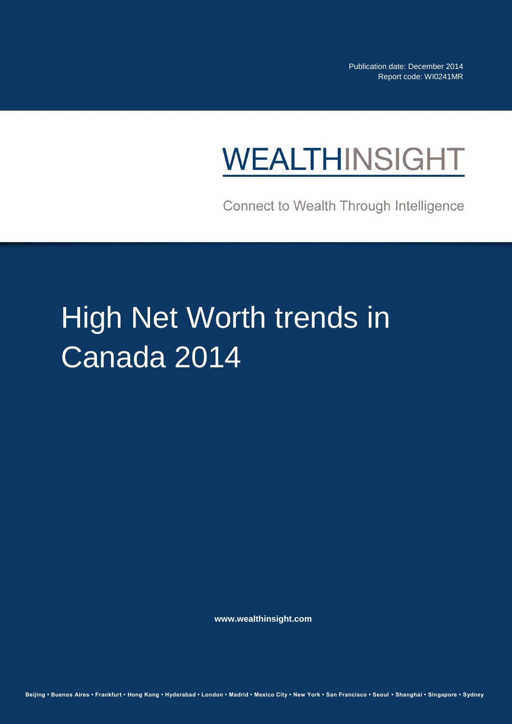Publication date: December 2014 Report code: WI0241MR

# WEALTHINSIGHT

Connect to Wealth Through Intelligence

# High Net Worth trends in Canada 2014

**www.wealthinsight.com**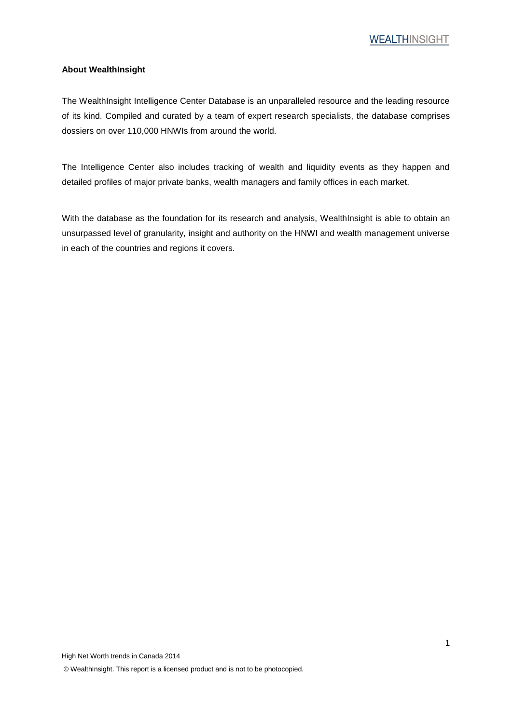#### **About WealthInsight**

The WealthInsight Intelligence Center Database is an unparalleled resource and the leading resource of its kind. Compiled and curated by a team of expert research specialists, the database comprises dossiers on over 110,000 HNWIs from around the world.

The Intelligence Center also includes tracking of wealth and liquidity events as they happen and detailed profiles of major private banks, wealth managers and family offices in each market.

With the database as the foundation for its research and analysis, WealthInsight is able to obtain an unsurpassed level of granularity, insight and authority on the HNWI and wealth management universe in each of the countries and regions it covers.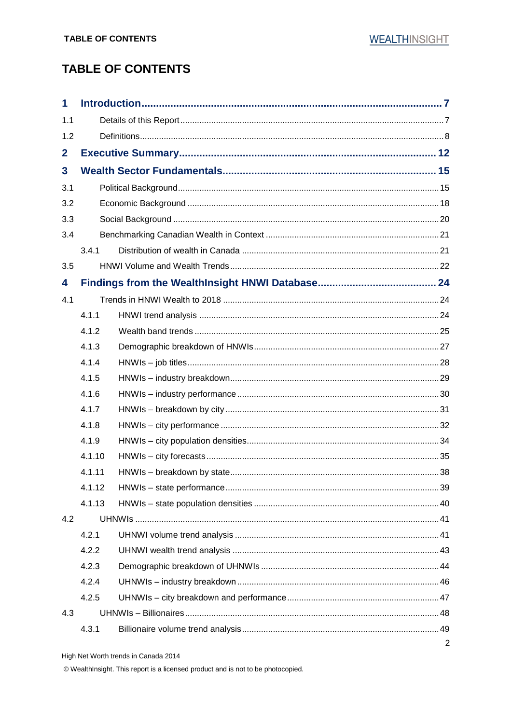### **TABLE OF CONTENTS**

| 1            |        |                |
|--------------|--------|----------------|
| 1.1          |        |                |
| 1.2          |        |                |
| $\mathbf{2}$ |        |                |
| 3            |        |                |
| 3.1          |        |                |
| 3.2          |        |                |
| 3.3          |        |                |
| 3.4          |        |                |
|              | 3.4.1  |                |
| 3.5          |        |                |
| 4            |        |                |
| 4.1          |        |                |
|              | 4.1.1  |                |
|              | 4.1.2  |                |
|              | 4.1.3  |                |
|              | 4.1.4  |                |
|              | 4.1.5  |                |
|              | 4.1.6  |                |
|              | 4.1.7  |                |
|              | 4.1.8  |                |
|              | 4.1.9  |                |
|              | 4.1.10 |                |
|              | 4.1.11 |                |
|              | 4.1.12 |                |
|              | 4.1.13 |                |
| 4.2          |        |                |
|              | 4.2.1  |                |
|              | 4.2.2  |                |
|              | 4.2.3  |                |
|              | 4.2.4  |                |
|              | 4.2.5  |                |
| 4.3          |        |                |
|              | 4.3.1  |                |
|              |        | $\overline{2}$ |

High Net Worth trends in Canada 2014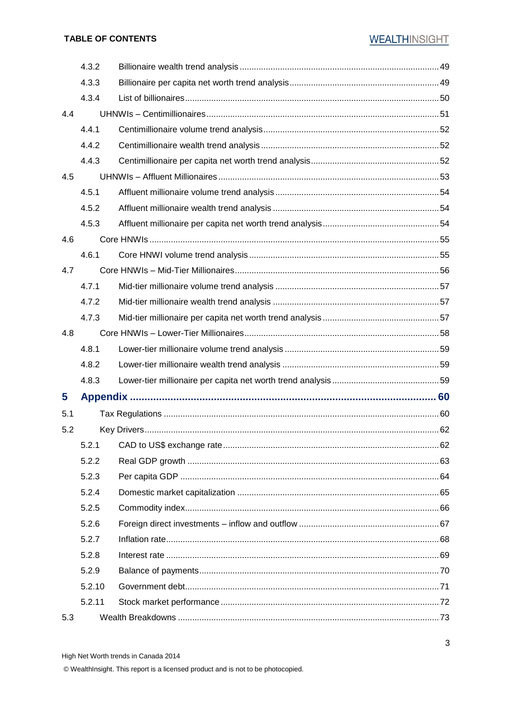|     | 4.3.2  |  |
|-----|--------|--|
|     | 4.3.3  |  |
|     | 4.3.4  |  |
| 4.4 |        |  |
|     | 4.4.1  |  |
|     | 4.4.2  |  |
|     | 4.4.3  |  |
| 4.5 |        |  |
|     | 4.5.1  |  |
|     | 4.5.2  |  |
|     | 4.5.3  |  |
| 4.6 |        |  |
|     | 4.6.1  |  |
| 4.7 |        |  |
|     | 4.7.1  |  |
|     | 4.7.2  |  |
|     | 4.7.3  |  |
| 4.8 |        |  |
|     | 4.8.1  |  |
|     | 4.8.2  |  |
|     | 4.8.3  |  |
| 5   |        |  |
| 5.1 |        |  |
| 5.2 |        |  |
|     |        |  |
|     | 5.2.2  |  |
|     | 5.2.3  |  |
|     | 5.2.4  |  |
|     | 5.2.5  |  |
|     | 5.2.6  |  |
|     | 5.2.7  |  |
|     | 5.2.8  |  |
|     | 5.2.9  |  |
|     | 5.2.10 |  |
|     | 5.2.11 |  |
|     |        |  |

High Net Worth trends in Canada 2014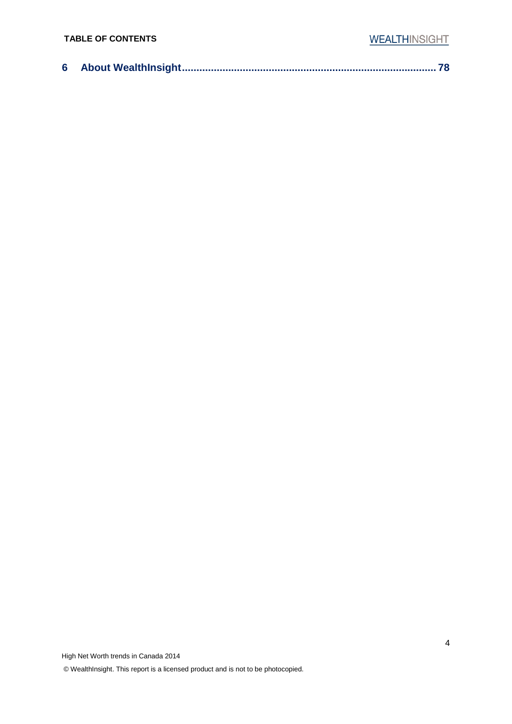|--|--|--|--|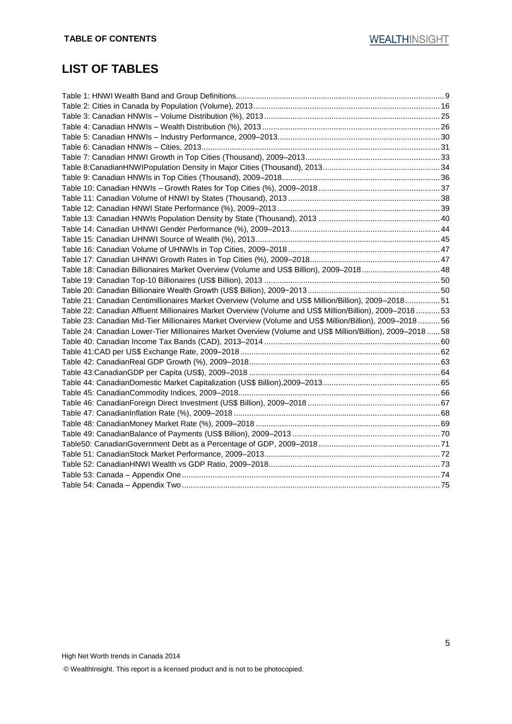### **LIST OF TABLES**

| Table 18: Canadian Billionaires Market Overview (Volume and US\$ Billion), 2009-2018 48                     |  |
|-------------------------------------------------------------------------------------------------------------|--|
|                                                                                                             |  |
|                                                                                                             |  |
| Table 21: Canadian Centimillionaires Market Overview (Volume and US\$ Million/Billion), 2009-2018 51        |  |
| Table 22: Canadian Affluent Millionaires Market Overview (Volume and US\$ Million/Billion), 2009-2018  53   |  |
| Table 23: Canadian Mid-Tier Millionaires Market Overview (Volume and US\$ Million/Billion), 2009-2018  56   |  |
| Table 24: Canadian Lower-Tier Millionaires Market Overview (Volume and US\$ Million/Billion), 2009-2018  58 |  |
|                                                                                                             |  |
|                                                                                                             |  |
|                                                                                                             |  |
|                                                                                                             |  |
|                                                                                                             |  |
|                                                                                                             |  |
|                                                                                                             |  |
|                                                                                                             |  |
|                                                                                                             |  |
|                                                                                                             |  |
|                                                                                                             |  |
|                                                                                                             |  |
|                                                                                                             |  |
|                                                                                                             |  |
|                                                                                                             |  |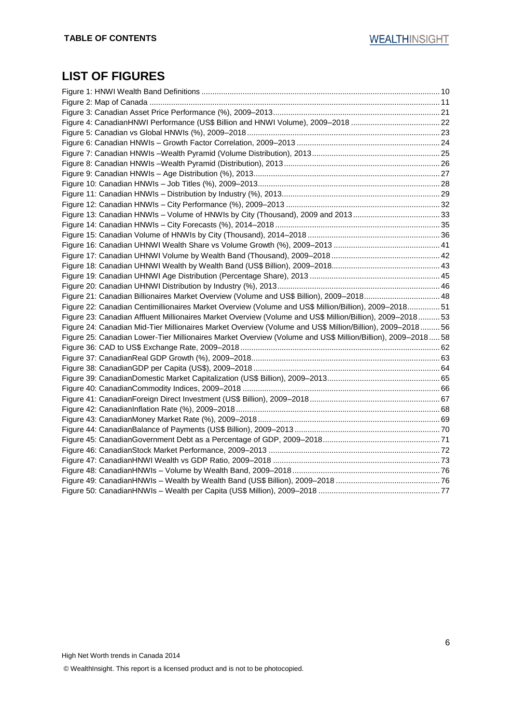### **LIST OF FIGURES**

| Figure 21: Canadian Billionaires Market Overview (Volume and US\$ Billion), 2009-2018 48                   |  |
|------------------------------------------------------------------------------------------------------------|--|
| Figure 22: Canadian Centimillionaires Market Overview (Volume and US\$ Million/Billion), 2009-201851       |  |
| Figure 23: Canadian Affluent Millionaires Market Overview (Volume and US\$ Million/Billion), 2009-201853   |  |
| Figure 24: Canadian Mid-Tier Millionaires Market Overview (Volume and US\$ Million/Billion), 2009-201856   |  |
| Figure 25: Canadian Lower-Tier Millionaires Market Overview (Volume and US\$ Million/Billion), 2009-201858 |  |
|                                                                                                            |  |
|                                                                                                            |  |
|                                                                                                            |  |
|                                                                                                            |  |
|                                                                                                            |  |
|                                                                                                            |  |
|                                                                                                            |  |
|                                                                                                            |  |
|                                                                                                            |  |
|                                                                                                            |  |
|                                                                                                            |  |
|                                                                                                            |  |
|                                                                                                            |  |
|                                                                                                            |  |
|                                                                                                            |  |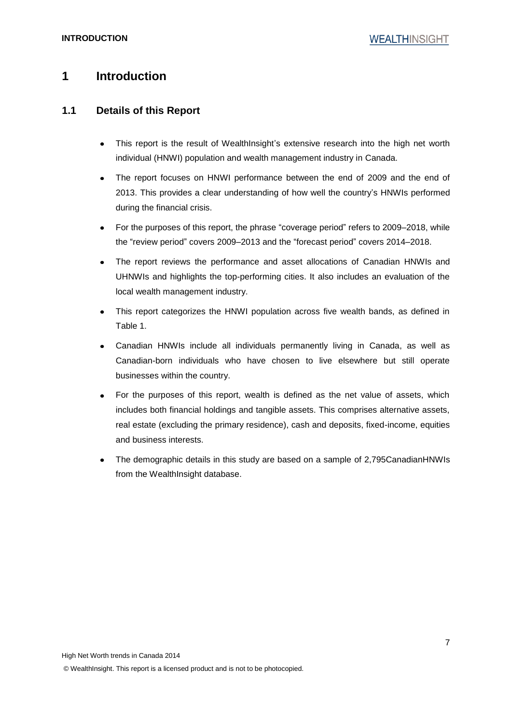#### **1 Introduction**

#### **1.1 Details of this Report**

- This report is the result of WealthInsight's extensive research into the high net worth  $\bullet$ individual (HNWI) population and wealth management industry in Canada.
- The report focuses on HNWI performance between the end of 2009 and the end of 2013. This provides a clear understanding of how well the country's HNWIs performed during the financial crisis.
- For the purposes of this report, the phrase "coverage period" refers to 2009–2018, while the "review period" covers 2009–2013 and the "forecast period" covers 2014–2018.
- The report reviews the performance and asset allocations of Canadian HNWIs and UHNWIs and highlights the top-performing cities. It also includes an evaluation of the local wealth management industry.
- This report categorizes the HNWI population across five wealth bands, as defined in Table 1.
- Canadian HNWIs include all individuals permanently living in Canada, as well as Canadian-born individuals who have chosen to live elsewhere but still operate businesses within the country.
- For the purposes of this report, wealth is defined as the net value of assets, which includes both financial holdings and tangible assets. This comprises alternative assets, real estate (excluding the primary residence), cash and deposits, fixed-income, equities and business interests.
- The demographic details in this study are based on a sample of 2,795CanadianHNWIs from the WealthInsight database.

<sup>©</sup> WealthInsight. This report is a licensed product and is not to be photocopied.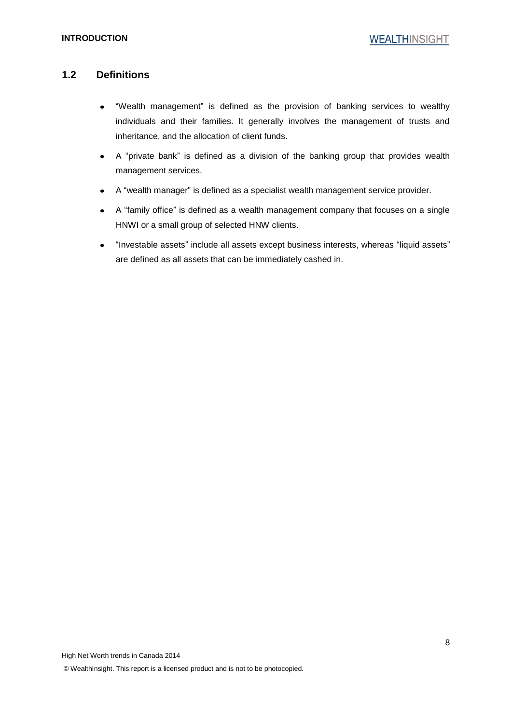#### **1.2 Definitions**

- $\bullet$ "Wealth management" is defined as the provision of banking services to wealthy individuals and their families. It generally involves the management of trusts and inheritance, and the allocation of client funds.
- A "private bank" is defined as a division of the banking group that provides wealth  $\bullet$ management services.
- A "wealth manager" is defined as a specialist wealth management service provider.
- A "family office" is defined as a wealth management company that focuses on a single HNWI or a small group of selected HNW clients.
- "Investable assets" include all assets except business interests, whereas "liquid assets"  $\bullet$ are defined as all assets that can be immediately cashed in.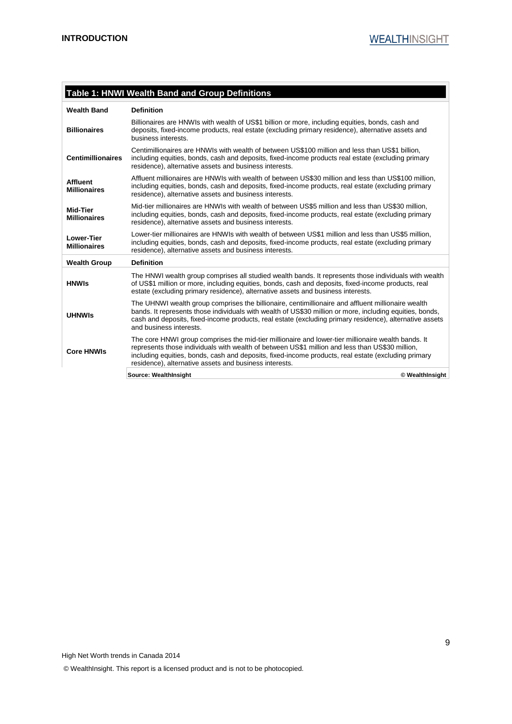#### **Table 1: HNWI Wealth Band and Group Definitions**

| <b>Wealth Band</b>                       | <b>Definition</b>                                                                                                                                                                                                                                                                                                                                                      |                 |
|------------------------------------------|------------------------------------------------------------------------------------------------------------------------------------------------------------------------------------------------------------------------------------------------------------------------------------------------------------------------------------------------------------------------|-----------------|
| <b>Billionaires</b>                      | Billionaires are HNWIs with wealth of US\$1 billion or more, including equities, bonds, cash and<br>deposits, fixed-income products, real estate (excluding primary residence), alternative assets and<br>business interests.                                                                                                                                          |                 |
| <b>Centimillionaires</b>                 | Centimillionaires are HNWIs with wealth of between US\$100 million and less than US\$1 billion,<br>including equities, bonds, cash and deposits, fixed-income products real estate (excluding primary<br>residence), alternative assets and business interests.                                                                                                        |                 |
| <b>Affluent</b><br><b>Millionaires</b>   | Affluent millionaires are HNWIs with wealth of between US\$30 million and less than US\$100 million,<br>including equities, bonds, cash and deposits, fixed-income products, real estate (excluding primary<br>residence), alternative assets and business interests.                                                                                                  |                 |
| Mid-Tier<br><b>Millionaires</b>          | Mid-tier millionaires are HNWIs with wealth of between US\$5 million and less than US\$30 million,<br>including equities, bonds, cash and deposits, fixed-income products, real estate (excluding primary<br>residence), alternative assets and business interests.                                                                                                    |                 |
| <b>Lower-Tier</b><br><b>Millionaires</b> | Lower-tier millionaires are HNWIs with wealth of between US\$1 million and less than US\$5 million,<br>including equities, bonds, cash and deposits, fixed-income products, real estate (excluding primary<br>residence), alternative assets and business interests.                                                                                                   |                 |
| <b>Wealth Group</b>                      | <b>Definition</b>                                                                                                                                                                                                                                                                                                                                                      |                 |
| <b>HNWIs</b>                             | The HNWI wealth group comprises all studied wealth bands. It represents those individuals with wealth<br>of US\$1 million or more, including equities, bonds, cash and deposits, fixed-income products, real<br>estate (excluding primary residence), alternative assets and business interests.                                                                       |                 |
| <b>UHNWIS</b>                            | The UHNWI wealth group comprises the billionaire, centimillionaire and affluent millionaire wealth<br>bands. It represents those individuals with wealth of US\$30 million or more, including equities, bonds,<br>cash and deposits, fixed-income products, real estate (excluding primary residence), alternative assets<br>and business interests.                   |                 |
| <b>Core HNWIs</b>                        | The core HNWI group comprises the mid-tier millionaire and lower-tier millionaire wealth bands. It<br>represents those individuals with wealth of between US\$1 million and less than US\$30 million,<br>including equities, bonds, cash and deposits, fixed-income products, real estate (excluding primary<br>residence), alternative assets and business interests. |                 |
|                                          | Source: WealthInsight                                                                                                                                                                                                                                                                                                                                                  | © WealthInsight |

<sup>©</sup> WealthInsight. This report is a licensed product and is not to be photocopied.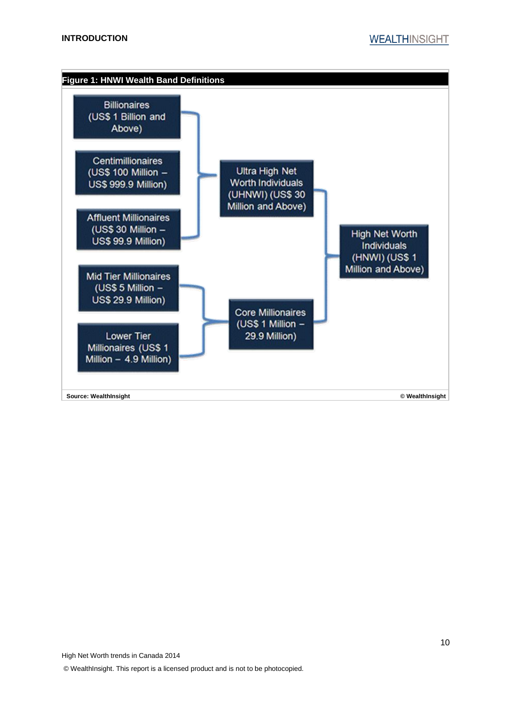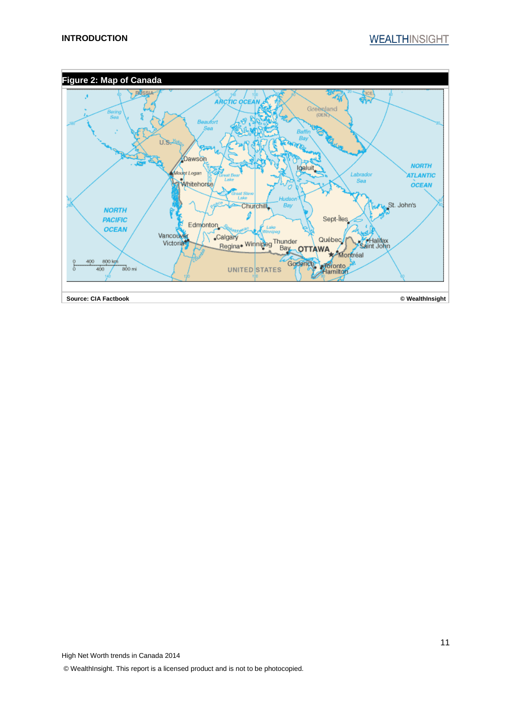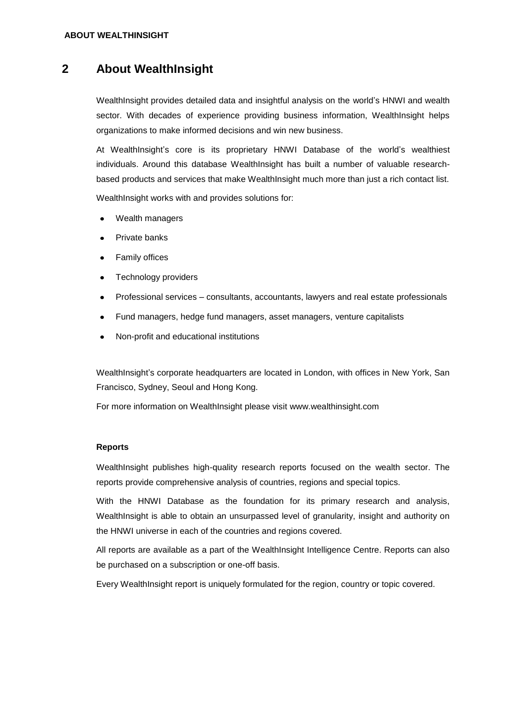#### **2 About WealthInsight**

WealthInsight provides detailed data and insightful analysis on the world's HNWI and wealth sector. With decades of experience providing business information, WealthInsight helps organizations to make informed decisions and win new business.

At WealthInsight's core is its proprietary HNWI Database of the world's wealthiest individuals. Around this database WealthInsight has built a number of valuable researchbased products and services that make WealthInsight much more than just a rich contact list. WealthInsight works with and provides solutions for:

- Wealth managers
- Private banks
- Family offices
- Technology providers
- Professional services consultants, accountants, lawyers and real estate professionals
- Fund managers, hedge fund managers, asset managers, venture capitalists
- Non-profit and educational institutions

WealthInsight's corporate headquarters are located in London, with offices in New York, San Francisco, Sydney, Seoul and Hong Kong.

For more information on WealthInsight please visit [www.wealthinsight.com](http://www.wealthinsight.com/)

#### **Reports**

WealthInsight publishes high-quality research reports focused on the wealth sector. The reports provide comprehensive analysis of countries, regions and special topics.

With the HNWI Database as the foundation for its primary research and analysis, WealthInsight is able to obtain an unsurpassed level of granularity, insight and authority on the HNWI universe in each of the countries and regions covered.

All reports are available as a part of the WealthInsight Intelligence Centre. Reports can also be purchased on a subscription or one-off basis.

Every WealthInsight report is uniquely formulated for the region, country or topic covered.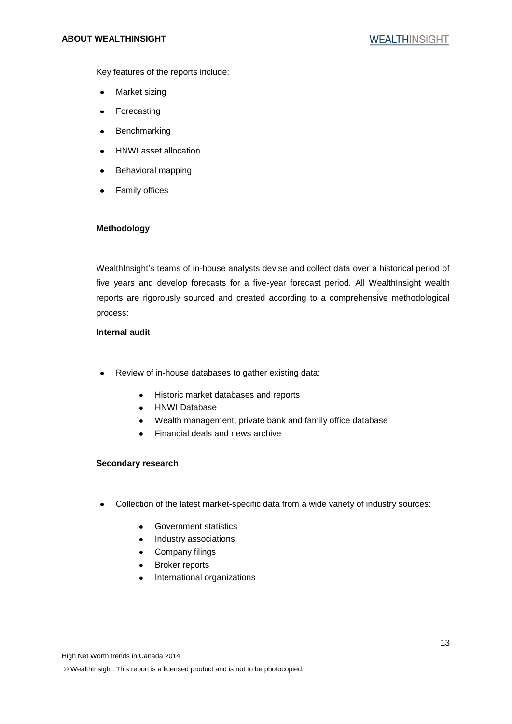Key features of the reports include:

- Market sizing
- Forecasting
- Benchmarking
- HNWI asset allocation
- Behavioral mapping
- Family offices

#### **Methodology**

WealthInsight's teams of in-house analysts devise and collect data over a historical period of five years and develop forecasts for a five-year forecast period. All WealthInsight wealth reports are rigorously sourced and created according to a comprehensive methodological process:

#### **Internal audit**

- Review of in-house databases to gather existing data:
	- Historic market databases and reports  $\bullet$
	- HNWI Database  $\bullet$
	- Wealth management, private bank and family office database  $\bullet$
	- Financial deals and news archive

#### **Secondary research**

- Collection of the latest market-specific data from a wide variety of industry sources:
	- Government statistics  $\bullet$
	- Industry associations  $\bullet$
	- Company filings  $\bullet$
	- Broker reports
	- International organizations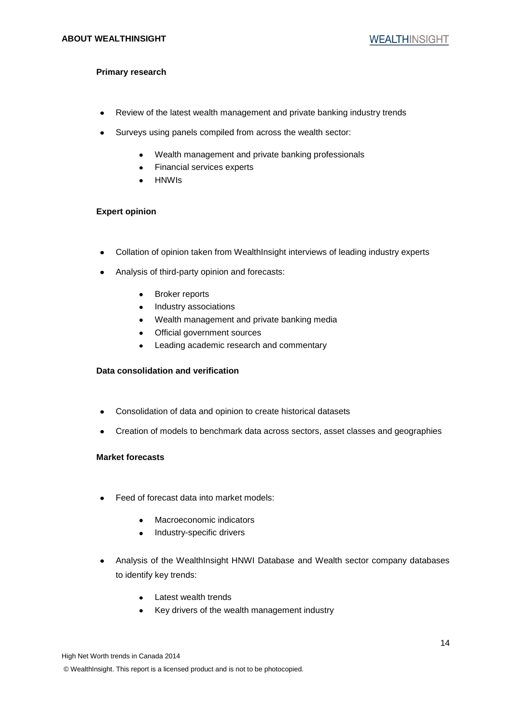#### **Primary research**

- Review of the latest wealth management and private banking industry trends
- Surveys using panels compiled from across the wealth sector:
	- Wealth management and private banking professionals  $\bullet$
	- Financial services experts  $\bullet$
	- HNWIs

#### **Expert opinion**

- Collation of opinion taken from WealthInsight interviews of leading industry experts
- Analysis of third-party opinion and forecasts:
	- Broker reports  $\bullet$
	- Industry associations
	- Wealth management and private banking media
	- Official government sources
	- Leading academic research and commentary  $\bullet$

#### **Data consolidation and verification**

- Consolidation of data and opinion to create historical datasets
- Creation of models to benchmark data across sectors, asset classes and geographies

#### **Market forecasts**

- Feed of forecast data into market models:
	- Macroeconomic indicators  $\bullet$
	- Industry-specific drivers  $\bullet$
- Analysis of the WealthInsight HNWI Database and Wealth sector company databases to identify key trends:
	- Latest wealth trends  $\bullet$
	- Key drivers of the wealth management industry $\bullet$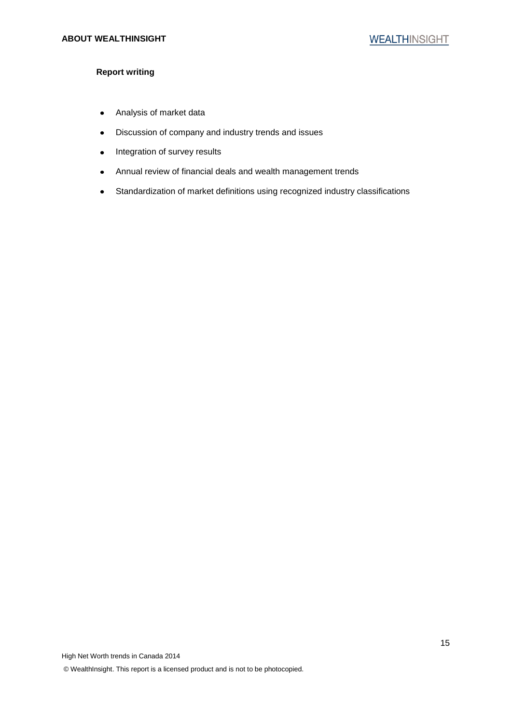#### **Report writing**

- Analysis of market data  $\bullet$
- Discussion of company and industry trends and issues
- Integration of survey results  $\bullet$
- Annual review of financial deals and wealth management trends  $\bullet$
- Standardization of market definitions using recognized industry classifications $\bullet$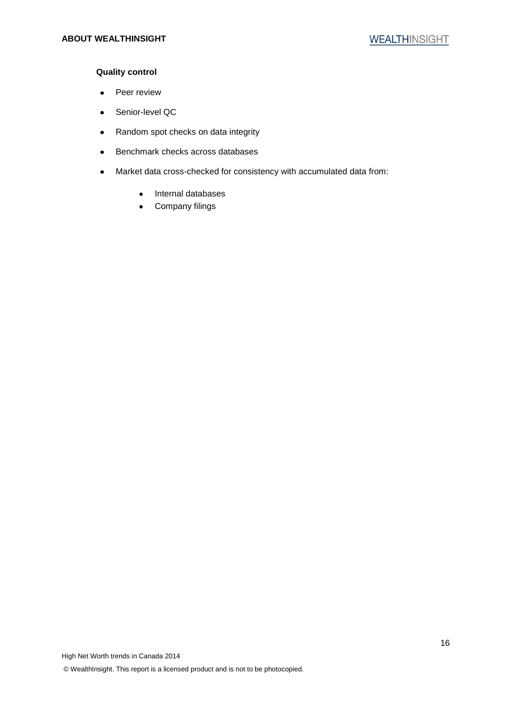#### **Quality control**

- Peer review  $\bullet$
- Senior-level QC  $\blacksquare$
- Random spot checks on data integrity  $\bullet$
- Benchmark checks across databases
- Market data cross-checked for consistency with accumulated data from:  $\bullet$ 
	- Internal databases  $\bullet$
	- Company filings $\bullet$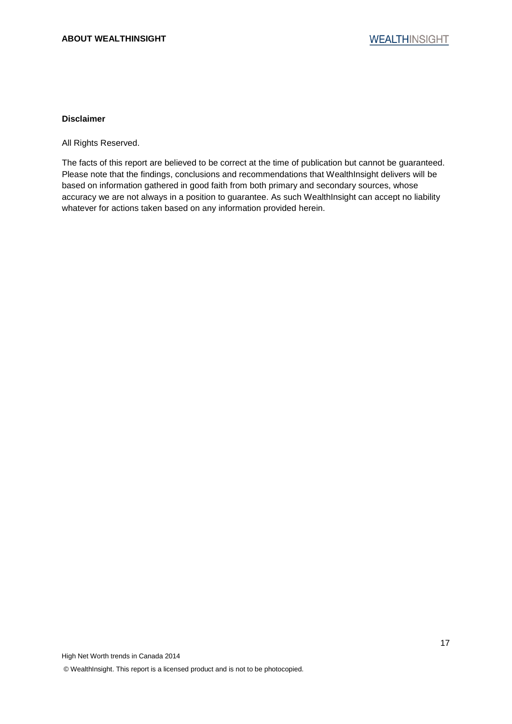#### **Disclaimer**

All Rights Reserved.

The facts of this report are believed to be correct at the time of publication but cannot be guaranteed. Please note that the findings, conclusions and recommendations that WealthInsight delivers will be based on information gathered in good faith from both primary and secondary sources, whose accuracy we are not always in a position to guarantee. As such WealthInsight can accept no liability whatever for actions taken based on any information provided herein.